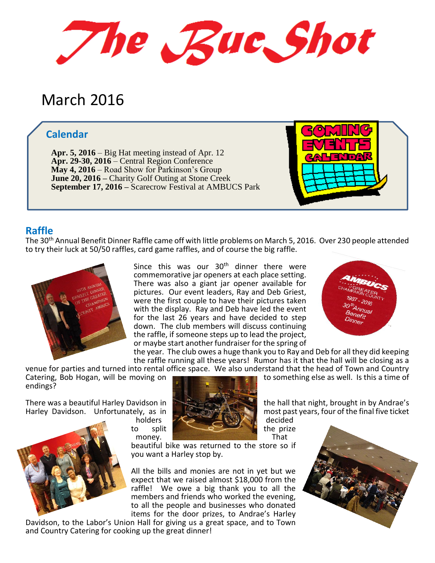The Rue Shot

# March 2016

# **Calendar**

**Apr. 5, 2016** – Big Hat meeting instead of Apr. 12 **Apr. 29-30, 2016** – Central Region Conference **May 4, 2016** – Road Show for Parkinson's Group **June 20, 2016 –** Charity Golf Outing at Stone Creek **September 17, 2016 –** Scarecrow Festival at AMBUCS Park



#### **Raffle**

The 30th Annual Benefit Dinner Raffle came off with little problems on March 5, 2016. Over 230 people attended to try their luck at 50/50 raffles, card game raffles, and of course the big raffle.



Since this was our  $30<sup>th</sup>$  dinner there were commemorative jar openers at each place setting. There was also a giant jar opener available for pictures. Our event leaders, Ray and Deb Griest, were the first couple to have their pictures taken with the display. Ray and Deb have led the event for the last 26 years and have decided to step down. The club members will discuss continuing the raffle, if someone steps up to lead the project, or maybe start another fundraiser for the spring of



the year. The club owes a huge thank you to Ray and Deb for all they did keeping the raffle running all these years! Rumor has it that the hall will be closing as a venue for parties and turned into rental office space. We also understand that the head of Town and Country Catering, Bob Hogan, will be moving on

endings?



beautiful bike was returned to the store so if you want a Harley stop by.

All the bills and monies are not in yet but we expect that we raised almost \$18,000 from the raffle! We owe a big thank you to all the members and friends who worked the evening, to all the people and businesses who donated items for the door prizes, to Andrae's Harley

Davidson, to the Labor's Union Hall for giving us a great space, and to Town and Country Catering for cooking up the great dinner!

to something else as well. Is this a time of

There was a beautiful Harley Davidson in the hall that night, brought in by Andrae's Harley Davidson. Unfortunately, as in most past years, four of the final five ticket

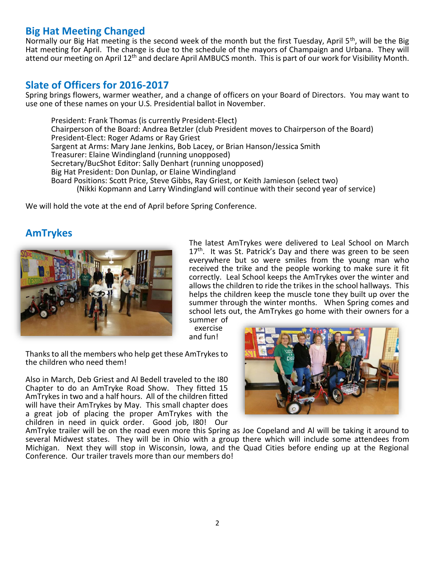# **Big Hat Meeting Changed**

Normally our Big Hat meeting is the second week of the month but the first Tuesday, April 5<sup>th</sup>, will be the Big Hat meeting for April. The change is due to the schedule of the mayors of Champaign and Urbana. They will attend our meeting on April 12<sup>th</sup> and declare April AMBUCS month. This is part of our work for Visibility Month.

# **Slate of Officers for 2016-2017**

Spring brings flowers, warmer weather, and a change of officers on your Board of Directors. You may want to use one of these names on your U.S. Presidential ballot in November.

President: Frank Thomas (is currently President-Elect) Chairperson of the Board: Andrea Betzler (club President moves to Chairperson of the Board) President-Elect: Roger Adams or Ray Griest Sargent at Arms: Mary Jane Jenkins, Bob Lacey, or Brian Hanson/Jessica Smith Treasurer: Elaine Windingland (running unopposed) Secretary/BucShot Editor: Sally Denhart (running unopposed) Big Hat President: Don Dunlap, or Elaine Windingland Board Positions: Scott Price, Steve Gibbs, Ray Griest, or Keith Jamieson (select two) (Nikki Kopmann and Larry Windingland will continue with their second year of service)

We will hold the vote at the end of April before Spring Conference.

# **AmTrykes**



The latest AmTrykes were delivered to Leal School on March  $17<sup>th</sup>$ . It was St. Patrick's Day and there was green to be seen everywhere but so were smiles from the young man who received the trike and the people working to make sure it fit correctly. Leal School keeps the AmTrykes over the winter and allows the children to ride the trikes in the school hallways. This helps the children keep the muscle tone they built up over the summer through the winter months. When Spring comes and school lets out, the AmTrykes go home with their owners for a summer of

exercise and fun!

Thanks to all the members who help get these AmTrykes to the children who need them!

Also in March, Deb Griest and Al Bedell traveled to the I80 Chapter to do an AmTryke Road Show. They fitted 15 AmTrykes in two and a half hours. All of the children fitted will have their AmTrykes by May. This small chapter does a great job of placing the proper AmTrykes with the children in need in quick order. Good job, I80! Our



AmTryke trailer will be on the road even more this Spring as Joe Copeland and Al will be taking it around to several Midwest states. They will be in Ohio with a group there which will include some attendees from Michigan. Next they will stop in Wisconsin, Iowa, and the Quad Cities before ending up at the Regional Conference. Our trailer travels more than our members do!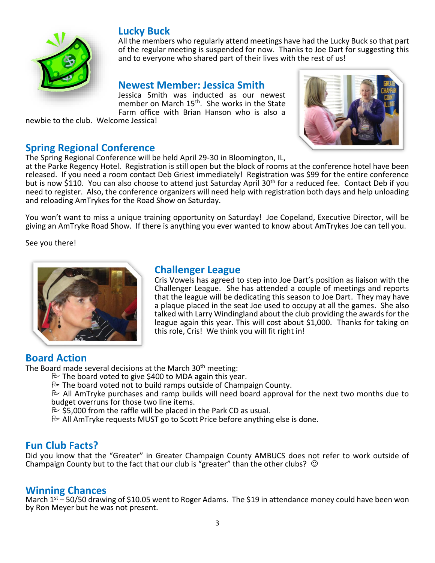

# **Lucky Buck**

All the members who regularly attend meetings have had the Lucky Buck so that part of the regular meeting is suspended for now. Thanks to Joe Dart for suggesting this and to everyone who shared part of their lives with the rest of us!

#### **Newest Member: Jessica Smith**

Jessica Smith was inducted as our newest member on March 15<sup>th</sup>. She works in the State Farm office with Brian Hanson who is also a

newbie to the club. Welcome Jessica!

# **Spring Regional Conference**

The Spring Regional Conference will be held April 29-30 in Bloomington, IL,



at the Parke Regency Hotel. Registration is still open but the block of rooms at the conference hotel have been released. If you need a room contact Deb Griest immediately! Registration was \$99 for the entire conference but is now \$110. You can also choose to attend just Saturday April 30<sup>th</sup> for a reduced fee. Contact Deb if you need to register. Also, the conference organizers will need help with registration both days and help unloading and reloading AmTrykes for the Road Show on Saturday.

You won't want to miss a unique training opportunity on Saturday! Joe Copeland, Executive Director, will be giving an AmTryke Road Show. If there is anything you ever wanted to know about AmTrykes Joe can tell you.

See you there!



#### **Challenger League**

Cris Vowels has agreed to step into Joe Dart's position as liaison with the Challenger League. She has attended a couple of meetings and reports that the league will be dedicating this season to Joe Dart. They may have a plaque placed in the seat Joe used to occupy at all the games. She also talked with Larry Windingland about the club providing the awards for the league again this year. This will cost about \$1,000. Thanks for taking on this role, Cris! We think you will fit right in!

# **Board Action**

The Board made several decisions at the March 30<sup>th</sup> meeting:

- $\approx$  The board voted to give \$400 to MDA again this year.
- $\approx$  The board voted not to build ramps outside of Champaign County.
- $\approx$  All AmTryke purchases and ramp builds will need board approval for the next two months due to budget overruns for those two line items.
	- $\approx$  \$5,000 from the raffle will be placed in the Park CD as usual.
	- $\approx$  All AmTryke requests MUST go to Scott Price before anything else is done.

#### **Fun Club Facts?**

Did you know that the "Greater" in Greater Champaign County AMBUCS does not refer to work outside of Champaign County but to the fact that our club is "greater" than the other clubs?  $\odot$ 

#### **Winning Chances**

March  $1^{st}$  – 50/50 drawing of \$10.05 went to Roger Adams. The \$19 in attendance money could have been won by Ron Meyer but he was not present.